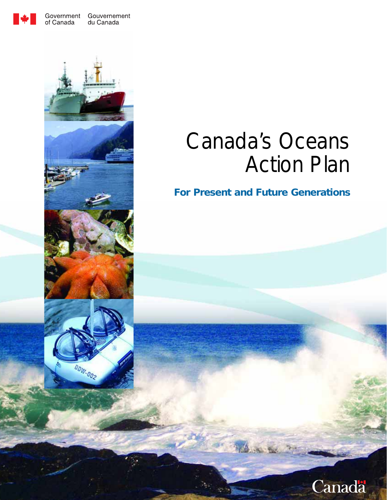

Government Gouvernement du Canada

# Canada's Oceans Action Plan

*For Present and Future Generations*



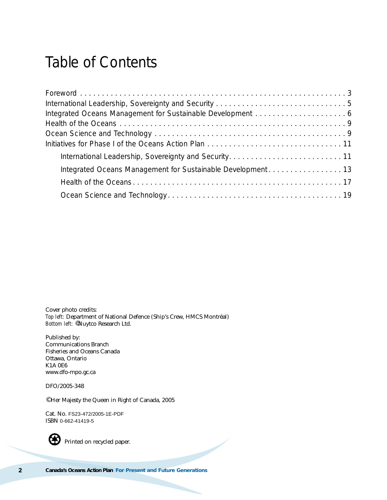## Table of Contents

Cover photo credits: *Top left:* Department of National Defence (Ship's Crew, HMCS Montréal) *Bottom left:* ©Nuytco Research Ltd.

Published by: Communications Branch Fisheries and Oceans Canada Ottawa, Ontario K1A 0E6 www.dfo-mpo.gc.ca

DFO/2005-348

© Her Majesty the Queen in Right of Canada, 2005

Cat. No. FS23-472/2005-1E-PDF ISBN 0-662-41419-5



Printed on recycled paper.

**2 Canada's Oceans Action Plan** *For Present and Future Generations*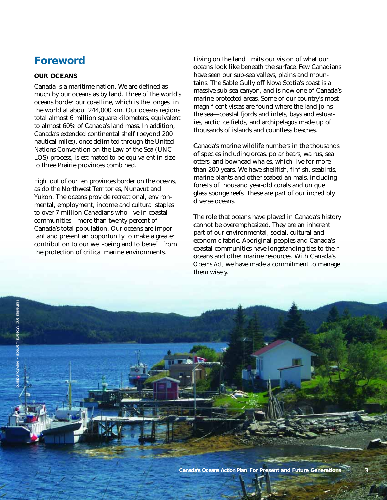## *Foreword*

#### **OUR OCEANS**

Canada is a maritime nation. We are defined as much by our oceans as by land. Three of the world's oceans border our coastline, which is the longest in the world at about 244,000 km. Our oceans regions total almost 6 million square kilometers, equivalent to almost 60% of Canada's land mass. In addition, Canada's extended continental shelf (beyond 200 nautical miles), once delimited through the United Nations Convention on the Law of the Sea (UNC-LOS) process, is estimated to be equivalent in size to three Prairie provinces combined.

Eight out of our ten provinces border on the oceans, as do the Northwest Territories, Nunavut and Yukon. The oceans provide recreational, environmental, employment, income and cultural staples to over 7 million Canadians who live in coastal communities—more than twenty percent of Canada's total population. Our oceans are important and present an opportunity to make a greater contribution to our well-being and to benefit from the protection of critical marine environments.

<span id="page-2-0"></span>Living on the land limits our vision of what our oceans look like beneath the surface. Few Canadians have seen our sub-sea valleys, plains and mountains. The Sable Gully off Nova Scotia's coast is a massive sub-sea canyon, and is now one of Canada's marine protected areas. Some of our country's most magnificent vistas are found where the land joins the sea—coastal fjords and inlets, bays and estuaries, arctic ice fields, and archipelagos made up of thousands of islands and countless beaches.

Canada's marine wildlife numbers in the thousands of species including orcas, polar bears, walrus, sea otters, and bowhead whales, which live for more than 200 years. We have shellfish, finfish, seabirds, marine plants and other seabed animals, including forests of thousand year-old corals and unique glass sponge reefs. These are part of our incredibly diverse oceans.

The role that oceans have played in Canada's history cannot be overemphasized. They are an inherent part of our environmental, social, cultural and economic fabric. Aboriginal peoples and Canada's coastal communities have longstanding ties to their oceans and other marine resources. With Canada's *Oceans Act*, we have made a commitment to manage them wisely.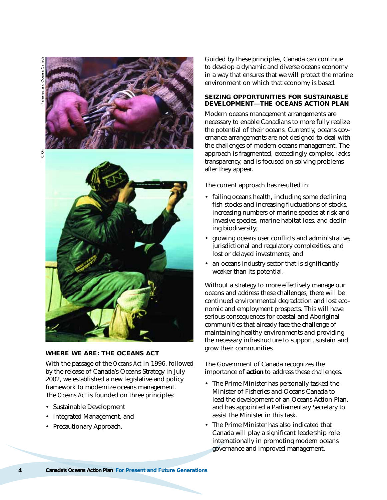



J.R. Orr



#### **WHERE WE ARE: THE** *OCEANS ACT*

With the passage of the *Oceans Act* in 1996, followed by the release of Canada's Oceans Strategy in July 2002, we established a new legislative and policy framework to modernize oceans management. The *Oceans Act* is founded on three principles:

- Sustainable Development
- Integrated Management, and
- Precautionary Approach.

Guided by these principles, Canada can continue to develop a dynamic and diverse oceans economy in a way that ensures that we will protect the marine environment on which that economy is based.

#### **SEIZING OPPORTUNITIES FOR SUSTAINABLE DEVELOPMENT—THE OCEANS ACTION PLAN**

Modern oceans management arrangements are necessary to enable Canadians to more fully realize the potential of their oceans. Currently, oceans governance arrangements are not designed to deal with the challenges of modern oceans management. The approach is fragmented, exceedingly complex, lacks transparency, and is focused on solving problems after they appear.

The current approach has resulted in:

- failing oceans health, including some declining fish stocks and increasing fluctuations of stocks, increasing numbers of marine species at risk and invasive species, marine habitat loss, and declining biodiversity;
- growing oceans user conflicts and administrative, jurisdictional and regulatory complexities, and lost or delayed investments; and
- an oceans industry sector that is significantly weaker than its potential.

Without a strategy to more effectively manage our oceans and address these challenges, there will be continued environmental degradation and lost economic and employment prospects. This will have serious consequences for coastal and Aboriginal communities that already face the challenge of maintaining healthy environments and providing the necessary infrastructure to support, sustain and grow their communities.

The Government of Canada recognizes the importance of *action* to address these challenges.

- The Prime Minister has personally tasked the Minister of Fisheries and Oceans Canada to lead the development of an Oceans Action Plan, and has appointed a Parliamentary Secretary to assist the Minister in this task.
- The Prime Minister has also indicated that Canada will play a significant leadership role internationally in promoting modern oceans governance and improved management.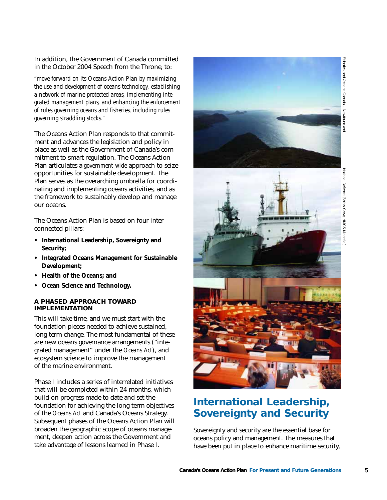In addition, the Government of Canada committed in the October 2004 Speech from the Throne, to:

*"move forward on its Oceans Action Plan by maximizing the use and development of oceans technology, establishing a network of marine protected areas, implementing integrated management plans, and enhancing the enforcement of rules governing oceans and fisheries, including rules governing straddling stocks."*

The Oceans Action Plan responds to that commitment and advances the legislation and policy in place as well as the Government of Canada's commitment to smart regulation. The Oceans Action Plan articulates a *government-wide* approach to seize opportunities for sustainable development. The Plan serves as the overarching umbrella for coordinating and implementing oceans activities, and as the framework to sustainably develop and manage our oceans.

The Oceans Action Plan is based on four interconnected pillars:

- **International Leadership, Sovereignty and Security;**
- **Integrated Oceans Management for Sustainable Development;**
- **Health of the Oceans; and**
- **Ocean Science and Technology.**

#### **A PHASED APPROACH TOWARD IMPLEMENTATION**

This will take time, and we must start with the foundation pieces needed to achieve sustained, long-term change. The most fundamental of these are new oceans governance arrangements ("integrated management" under the *Oceans Act*), and ecosystem science to improve the management of the marine environment.

Phase I includes a series of interrelated initiatives that will be completed within 24 months, which build on progress made to date and set the foundation for achieving the long-term objectives of the *Oceans Act* and Canada's Oceans Strategy. Subsequent phases of the Oceans Action Plan will broaden the geographic scope of oceans management, deepen action across the Government and take advantage of lessons learned in Phase I.

<span id="page-4-0"></span>

## *International Leadership, Sovereignty and Security*

Sovereignty and security are the essential base for oceans policy and management. The measures that have been put in place to enhance maritime security,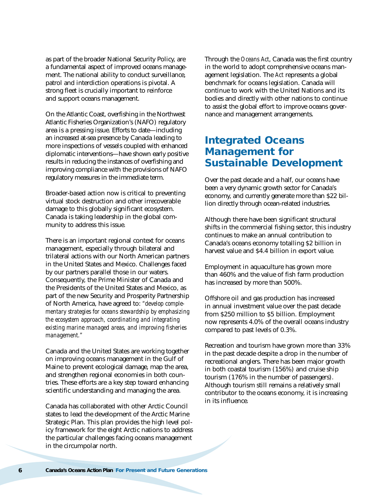as part of the broader National Security Policy, are a fundamental aspect of improved oceans management. The national ability to conduct surveillance, patrol and interdiction operations is pivotal. A strong fleet is crucially important to reinforce and support oceans management.

On the Atlantic Coast, overfishing in the Northwest Atlantic Fisheries Organization's (NAFO) regulatory area is a pressing issue. Efforts to date—including an increased at-sea presence by Canada leading to more inspections of vessels coupled with enhanced diplomatic interventions—have shown early positive results in reducing the instances of overfishing and improving compliance with the provisions of NAFO regulatory measures in the immediate term.

Broader-based action now is critical to preventing virtual stock destruction and other irrecoverable damage to this globally significant ecosystem. Canada is taking leadership in the global community to address this issue.

There is an important regional context for oceans management, especially through bilateral and trilateral actions with our North American partners in the United States and Mexico. Challenges faced by our partners parallel those in our waters. Consequently, the Prime Minister of Canada and the Presidents of the United States and Mexico, as part of the new Security and Prosperity Partnership of North America, have agreed to: *"develop complementary strategies for oceans stewardship by emphasizing the ecosystem approach, coordinating and integrating existing marine managed areas, and improving fisheries management."* 

Canada and the United States are working together on improving oceans management in the Gulf of Maine to prevent ecological damage, map the area, and strengthen regional economies in both countries. These efforts are a key step toward enhancing scientific understanding and managing the area.

Canada has collaborated with other Arctic Council states to lead the development of the Arctic Marine Strategic Plan. This plan provides the high level policy framework for the eight Arctic nations to address the particular challenges facing oceans management in the circumpolar north.

<span id="page-5-0"></span>Through the *Oceans Act*, Canada was the first country in the world to adopt comprehensive oceans management legislation. The *Act* represents a global benchmark for oceans legislation. Canada will continue to work with the United Nations and its bodies and directly with other nations to continue to assist the global effort to improve oceans governance and management arrangements.

### *Integrated Oceans Management for Sustainable Development*

Over the past decade and a half, our oceans have been a very dynamic growth sector for Canada's economy, and currently generate more than \$22 billion directly through ocean-related industries.

Although there have been significant structural shifts in the commercial fishing sector, this industry continues to make an annual contribution to Canada's oceans economy totalling \$2 billion in harvest value and \$4.4 billion in export value.

Employment in aquaculture has grown more than 460% and the value of fish farm production has increased by more than 500%.

Offshore oil and gas production has increased in annual investment value over the past decade from \$250 million to \$5 billion. Employment now represents 4.0% of the overall oceans industry compared to past levels of 0.3%.

Recreation and tourism have grown more than 33% in the past decade despite a drop in the number of recreational anglers. There has been major growth in both coastal tourism (156%) and cruise ship tourism (176% in the number of passengers). Although tourism still remains a relatively small contributor to the oceans economy, it is increasing in its influence.

**6 Canada's Oceans Action Plan** *For Present and Future Generations*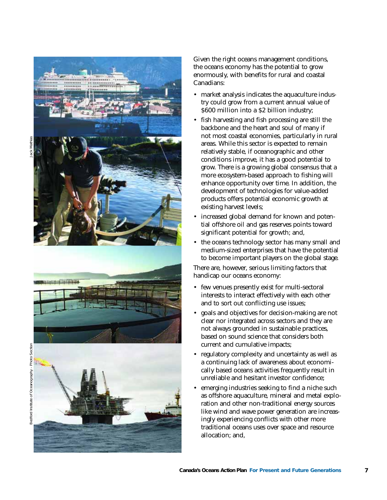

Given the right oceans management conditions, the oceans economy has the potential to grow enormously, with benefits for rural and coastal Canadians:

- market analysis indicates the aquaculture industry could grow from a current annual value of \$600 million into a \$2 billion industry;
- fish harvesting and fish processing are still the backbone and the heart and soul of many if not most coastal economies, particularly in rural areas. While this sector is expected to remain relatively stable, if oceanographic and other conditions improve, it has a good potential to grow. There is a growing global consensus that a more ecosystem-based approach to fishing will enhance opportunity over time. In addition, the development of technologies for value-added products offers potential economic growth at existing harvest levels;
- increased global demand for known and potential offshore oil and gas reserves points toward significant potential for growth; and,
- the oceans technology sector has many small and medium-sized enterprises that have the potential to become important players on the global stage.

There are, however, serious limiting factors that handicap our oceans economy:

- few venues presently exist for multi-sectoral interests to interact effectively with each other and to sort out conflicting use issues;
- goals and objectives for decision-making are not clear nor integrated across sectors and they are not always grounded in sustainable practices, based on sound science that considers both current and cumulative impacts;
- regulatory complexity and uncertainty as well as a continuing lack of awareness about economically based oceans activities frequently result in unreliable and hesitant investor confidence;
- emerging industries seeking to find a niche such as offshore aquaculture, mineral and metal exploration and other non-traditional energy sources like wind and wave power generation are increasingly experiencing conflicts with other more traditional oceans uses over space and resource allocation; and,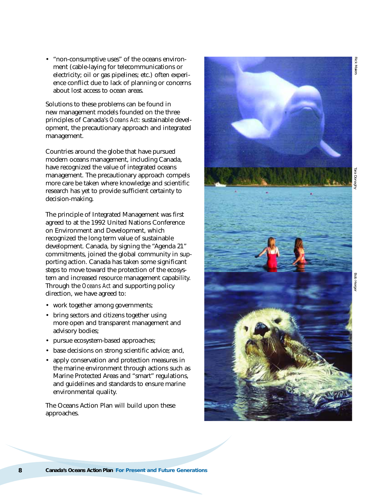• "non-consumptive uses" of the oceans environment (cable-laying for telecommunications or electricity; oil or gas pipelines; etc.) often experience conflict due to lack of planning or concerns about lost access to ocean areas.

Solutions to these problems can be found in new management models founded on the three principles of Canada's *Oceans Act*: sustainable development, the precautionary approach and integrated management.

Countries around the globe that have pursued modern oceans management, including Canada, have recognized the value of integrated oceans management. The precautionary approach compels more care be taken where knowledge and scientific research has yet to provide sufficient certainty to decision-making.

The principle of Integrated Management was first agreed to at the 1992 United Nations Conference on Environment and Development, which recognized the long term value of sustainable development. Canada, by signing the "Agenda 21" commitments, joined the global community in supporting action. Canada has taken some significant steps to move toward the protection of the ecosystem and increased resource management capability. Through the *Oceans Act* and supporting policy direction, we have agreed to:

- work together among governments;
- bring sectors and citizens together using more open and transparent management and advisory bodies;
- pursue ecosystem-based approaches;
- base decisions on strong scientific advice; and,
- apply conservation and protection measures in the marine environment through actions such as Marine Protected Areas and "smart" regulations, and guidelines and standards to ensure marine environmental quality.

The Oceans Action Plan will build upon these approaches.



Rick Maier: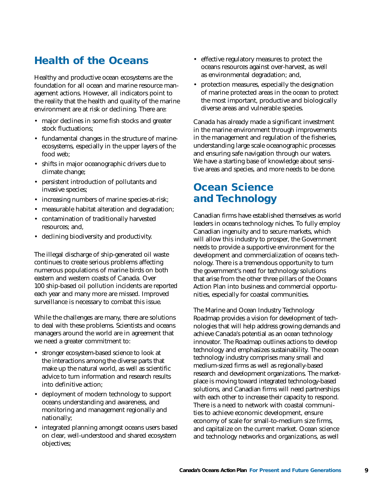## *Health of the Oceans*

Healthy and productive ocean ecosystems are the foundation for all ocean and marine resource management actions. However, all indicators point to the reality that the health and quality of the marine environment are at risk or declining. There are:

- major declines in some fish stocks and greater stock fluctuations;
- fundamental changes in the structure of marineecosystems, especially in the upper layers of the food web;
- shifts in major oceanographic drivers due to climate change;
- persistent introduction of pollutants and invasive species;
- increasing numbers of marine species-at-risk;
- measurable habitat alteration and degradation;
- contamination of traditionally harvested resources; and,
- declining biodiversity and productivity.

The illegal discharge of ship-generated oil waste continues to create serious problems affecting numerous populations of marine birds on both eastern and western coasts of Canada. Over 100 ship-based oil pollution incidents are reported each year and many more are missed. Improved surveillance is necessary to combat this issue.

While the challenges are many, there are solutions to deal with these problems. Scientists and oceans managers around the world are in agreement that we need a greater commitment to:

- stronger ecosystem-based science to look at the interactions among the diverse parts that make up the natural world, as well as scientific advice to turn information and research results into definitive action;
- deployment of modern technology to support oceans understanding and awareness, and monitoring and management regionally and nationally;
- integrated planning amongst oceans users based on clear, well-understood and shared ecosystem objectives;
- <span id="page-8-0"></span>• effective regulatory measures to protect the oceans resources against over-harvest, as well as environmental degradation; and,
- protection measures, especially the designation of marine protected areas in the ocean to protect the most important, productive and biologically diverse areas and vulnerable species.

Canada has already made a significant investment in the marine environment through improvements in the management and regulation of the fisheries, understanding large scale oceanographic processes and ensuring safe navigation through our waters. We have a starting base of knowledge about sensitive areas and species, and more needs to be done.

## *Ocean Science and Technology*

Canadian firms have established themselves as world leaders in oceans technology niches. To fully employ Canadian ingenuity and to secure markets, which will allow this industry to prosper, the Government needs to provide a supportive environment for the development and commercialization of oceans technology. There is a tremendous opportunity to turn the government's need for technology solutions that arise from the other three pillars of the Oceans Action Plan into business and commercial opportunities, especially for coastal communities.

The Marine and Ocean Industry Technology Roadmap provides a vision for development of technologies that will help address growing demands and achieve Canada's potential as an ocean technology innovator. The Roadmap outlines actions to develop technology and emphasizes sustainability. The ocean technology industry comprises many small and medium-sized firms as well as regionally-based research and development organizations. The marketplace is moving toward integrated technology-based solutions, and Canadian firms will need partnerships with each other to increase their capacity to respond. There is a need to network with coastal communities to achieve economic development, ensure economy of scale for small-to-medium size firms, and capitalize on the current market. Ocean science and technology networks and organizations, as well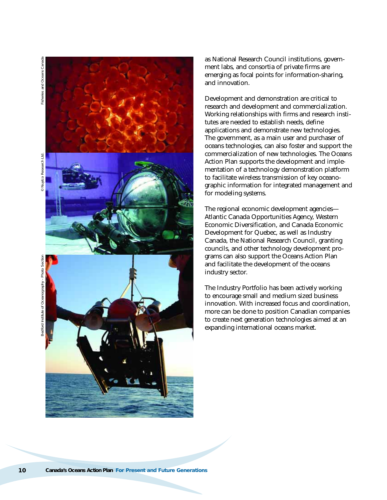

as National Research Council institutions, government labs, and consortia of private firms are emerging as focal points for information-sharing, and innovation.

Development and demonstration are critical to research and development and commercialization. Working relationships with firms and research institutes are needed to establish needs, define applications and demonstrate new technologies. The government, as a main user and purchaser of oceans technologies, can also foster and support the commercialization of new technologies. The Oceans Action Plan supports the development and implementation of a technology demonstration platform to facilitate wireless transmission of key oceanographic information for integrated management and for modeling systems.

The regional economic development agencies— Atlantic Canada Opportunities Agency, Western Economic Diversification, and Canada Economic Development for Quebec, as well as Industry Canada, the National Research Council, granting councils, and other technology development programs can also support the Oceans Action Plan and facilitate the development of the oceans industry sector.

The Industry Portfolio has been actively working to encourage small and medium sized business innovation. With increased focus and coordination, more can be done to position Canadian companies to create next generation technologies aimed at an expanding international oceans market.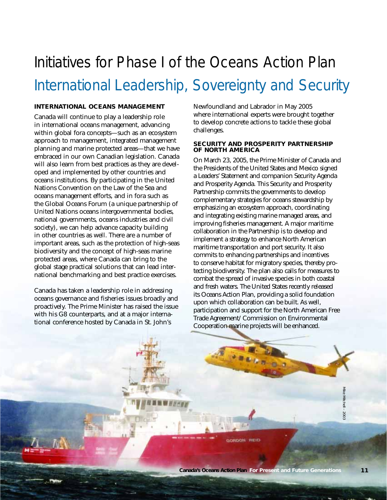# Initiatives for Phase I of the Oceans Action Plan International Leadership, Sovereignty and Security

#### **INTERNATIONAL OCEANS MANAGEMENT**

Canada will continue to play a leadership role in international oceans management, advancing within global fora concepts—such as an ecosystem approach to management, integrated management planning and marine protected areas—that we have embraced in our own Canadian legislation. Canada will also learn from best practices as they are developed and implemented by other countries and oceans institutions. By participating in the United Nations Convention on the Law of the Sea and oceans management efforts, and in fora such as the Global Oceans Forum (a unique partnership of United Nations oceans intergovernmental bodies, national governments, oceans industries and civil society), we can help advance capacity building in other countries as well. There are a number of important areas, such as the protection of high-seas biodiversity and the concept of high-seas marine protected areas, where Canada can bring to the global stage practical solutions that can lead international benchmarking and best practice exercises.

Canada has taken a leadership role in addressing oceans governance and fisheries issues broadly and proactively. The Prime Minister has raised the issue with his G8 counterparts, and at a major international conference hosted by Canada in St. John's

Newfoundland and Labrador in May 2005 where international experts were brought together to develop concrete actions to tackle these global challenges.

#### **SECURITY AND PROSPERITY PARTNERSHIP OF NORTH AMERICA**

On March 23, 2005, the Prime Minister of Canada and the Presidents of the United States and Mexico signed a Leaders' Statement and companion Security Agenda and Prosperity Agenda. This Security and Prosperity Partnership commits the governments to develop complementary strategies for oceans stewardship by emphasizing an ecosystem approach, coordinating and integrating existing marine managed areas, and improving fisheries management. A major maritime collaboration in the Partnership is to develop and implement a strategy to enhance North American maritime transportation and port security. It also commits to enhancing partnerships and incentives to conserve habitat for migratory species, thereby protecting biodiversity. The plan also calls for measures to combat the spread of invasive species in both coastal and fresh waters. The United States recently released its Oceans Action Plan, providing a solid foundation upon which collaboration can be built. As well, participation and support for the North American Free Trade Agreement/ Commission on Environmental Cooperation marine projects will be enhanced.

GORDON REID

<span id="page-10-0"></span>Mike Mitchell – 2003 $-2003$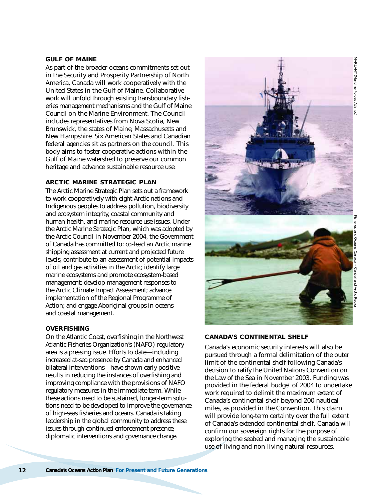# MARLANT (Maritime Forces MARLANT (Maritime Forces Atlantic)Atlantic)

#### **GULF OF MAINE**

As part of the broader oceans commitments set out in the Security and Prosperity Partnership of North America, Canada will work cooperatively with the United States in the Gulf of Maine. Collaborative work will unfold through existing transboundary fisheries management mechanisms and the Gulf of Maine Council on the Marine Environment. The Council includes representatives from Nova Scotia, New Brunswick, the states of Maine, Massachusetts and New Hampshire. Six American States and Canadian federal agencies sit as partners on the council. This body aims to foster cooperative actions within the Gulf of Maine watershed to preserve our common heritage and advance sustainable resource use.

#### **ARCTIC MARINE STRATEGIC PLAN**

The Arctic Marine Strategic Plan sets out a framework to work cooperatively with eight Arctic nations and Indigenous peoples to address pollution, biodiversity and ecosystem integrity, coastal community and human health, and marine resource use issues. Under the Arctic Marine Strategic Plan, which was adopted by the Arctic Council in November 2004, the Government of Canada has committed to: co-lead an Arctic marine shipping assessment at current and projected future levels, contribute to an assessment of potential impacts of oil and gas activities in the Arctic; identify large marine ecosystems and promote ecosystem-based management; develop management responses to the Arctic Climate Impact Assessment; advance implementation of the Regional Programme of Action; and engage Aboriginal groups in oceans and coastal management.

#### **OVERFISHING**

On the Atlantic Coast, overfishing in the Northwest Atlantic Fisheries Organization's (NAFO) regulatory area is a pressing issue. Efforts to date—including increased at-sea presence by Canada and enhanced bilateral interventions—have shown early positive results in reducing the instances of overfishing and improving compliance with the provisions of NAFO regulatory measures in the immediate term. While these actions need to be sustained, longer-term solutions need to be developed to improve the governance of high-seas fisheries and oceans. Canada is taking leadership in the global community to address these issues through continued enforcement presence, diplomatic interventions and governance change.



#### **CANADA'S CONTINENTAL SHELF**

Canada's economic security interests will also be pursued through a formal delimitation of the outer limit of the continental shelf following Canada's decision to ratify the United Nations Convention on the Law of the Sea in November 2003. Funding was provided in the federal budget of 2004 to undertake work required to delimit the maximum extent of Canada's continental shelf beyond 200 nautical miles, as provided in the Convention. This claim will provide long-term certainty over the full extent of Canada's extended continental shelf. Canada will confirm our sovereign rights for the purpose of exploring the seabed and managing the sustainable use of living and non-living natural resources.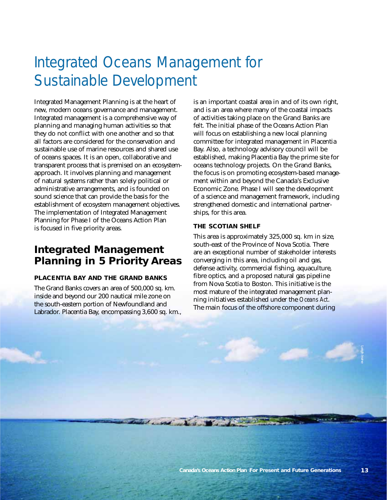# Integrated Oceans Management for Sustainable Development

Integrated Management Planning is at the heart of new, modern oceans governance and management. Integrated management is a comprehensive way of planning and managing human activities so that they do not conflict with one another and so that all factors are considered for the conservation and sustainable use of marine resources and shared use of oceans spaces. It is an open, collaborative and transparent process that is premised on an ecosystemapproach. It involves planning and management of natural systems rather than solely political or administrative arrangements, and is founded on sound science that can provide the basis for the establishment of ecosystem management objectives. The implementation of Integrated Management Planning for Phase I of the Oceans Action Plan is focused in five priority areas.

## *Integrated Management Planning in 5 Priority Areas*

#### **PLACENTIA BAY AND THE GRAND BANKS**

The Grand Banks covers an area of 500,000 sq. km. inside and beyond our 200 nautical mile zone on the south-eastern portion of Newfoundland and Labrador. Placentia Bay, encompassing 3,600 sq. km., is an important coastal area in and of its own right, and is an area where many of the coastal impacts of activities taking place on the Grand Banks are felt. The initial phase of the Oceans Action Plan will focus on establishing a new local planning committee for integrated management in Placentia Bay. Also, a technology advisory council will be established, making Placentia Bay the prime site for oceans technology projects. On the Grand Banks, the focus is on promoting ecosystem-based management within and beyond the Canada's Exclusive Economic Zone. Phase I will see the development of a science and management framework, including strengthened domestic and international partnerships, for this area.

#### **THE SCOTIAN SHELF**

and a word with the common

This area is approximately 325,000 sq. km in size, south-east of the Province of Nova Scotia. There are an exceptional number of stakeholder interests converging in this area, including oil and gas, defense activity, commercial fishing, aquaculture, fibre optics, and a proposed natural gas pipeline from Nova Scotia to Boston. This initiative is the most mature of the integrated management planning initiatives established under the *Oceans Act*. The main focus of the offshore component during

<span id="page-12-0"></span>Leigh Irvine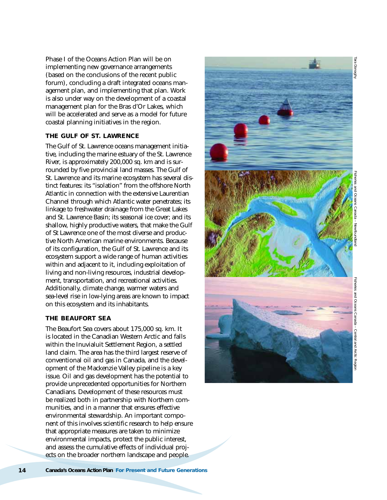Phase I of the Oceans Action Plan will be on implementing new governance arrangements (based on the conclusions of the recent public forum), concluding a draft integrated oceans management plan, and implementing that plan. Work is also under way on the development of a coastal management plan for the Bras d'Or Lakes, which will be accelerated and serve as a model for future coastal planning initiatives in the region.

#### **THE GULF OF ST. LAWRENCE**

The Gulf of St. Lawrence oceans management initiative, including the marine estuary of the St. Lawrence River, is approximately 200,000 sq. km and is surrounded by five provincial land masses. The Gulf of St. Lawrence and its marine ecosystem has several distinct features: its "isolation" from the offshore North Atlantic in connection with the extensive Laurentian Channel through which Atlantic water penetrates; its linkage to freshwater drainage from the Great Lakes and St. Lawrence Basin; its seasonal ice cover; and its shallow, highly productive waters, that make the Gulf of St Lawrence one of the most diverse and productive North American marine environments. Because of its configuration, the Gulf of St. Lawrence and its ecosystem support a wide range of human activities within and adjacent to it, including exploitation of living and non-living resources, industrial development, transportation, and recreational activities. Additionally, climate change, warmer waters and sea-level rise in low-lying areas are known to impact on this ecosystem and its inhabitants.

#### **THE BEAUFORT SEA**

The Beaufort Sea covers about 175,000 sq. km. It is located in the Canadian Western Arctic and falls within the Inuvialuit Settlement Region, a settled land claim. The area has the third largest reserve of conventional oil and gas in Canada, and the development of the Mackenzie Valley pipeline is a key issue. Oil and gas development has the potential to provide unprecedented opportunities for Northern Canadians. Development of these resources must be realized both in partnership with Northern communities, and in a manner that ensures effective environmental stewardship. An important component of this involves scientific research to help ensure that appropriate measures are taken to minimize environmental impacts, protect the public interest, and assess the cumulative effects of individual projects on the broader northern landscape and people.



Fisheries and Oceans Canada – Newfoundland

Tara Donagh

**14 Canada's Oceans Action Plan** *For Present and Future Generations*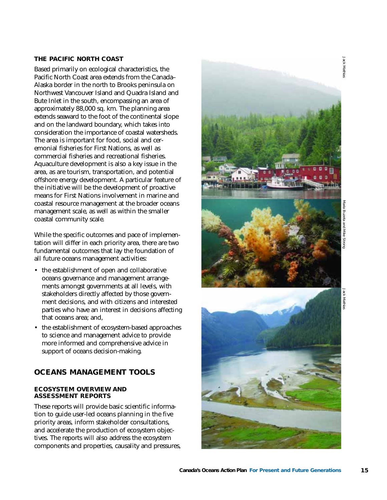#### **THE PACIFIC NORTH COAST**

Based primarily on ecological characteristics, the Pacific North Coast area extends from the Canada– Alaska border in the north to Brooks peninsula on Northwest Vancouver Island and Quadra Island and Bute Inlet in the south, encompassing an area of approximately 88,000 sq. km. The planning area extends seaward to the foot of the continental slope and on the landward boundary, which takes into consideration the importance of coastal watersheds. The area is important for food, social and ceremonial fisheries for First Nations, as well as commercial fisheries and recreational fisheries. Aquaculture development is also a key issue in the area, as are tourism, transportation, and potential offshore energy development. A particular feature of the initiative will be the development of proactive means for First Nations involvement in marine and coastal resource management at the broader oceans management scale, as well as within the smaller coastal community scale.

While the specific outcomes and pace of implementation will differ in each priority area, there are two fundamental outcomes that lay the foundation of all future oceans management activities:

- the establishment of open and collaborative oceans governance and management arrangements amongst governments at all levels, with stakeholders directly affected by those government decisions, and with citizens and interested parties who have an interest in decisions affecting that oceans area; and,
- the establishment of ecosystem-based approaches to science and management advice to provide more informed and comprehensive advice in support of oceans decision-making.

#### *OCEANS MANAGEMENT TOOLS*

#### **ECOSYSTEM OVERVIEW AND ASSESSMENT REPORTS**

These reports will provide basic scientific information to guide user-led oceans planning in the five priority areas, inform stakeholder consultations, and accelerate the production of ecosystem objectives. The reports will also address the ecosystem components and properties, causality and pressures,



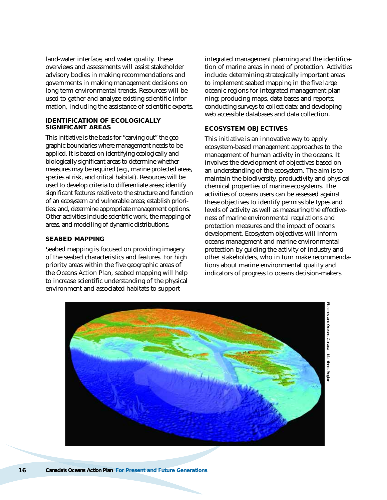land-water interface, and water quality. These overviews and assessments will assist stakeholder advisory bodies in making recommendations and governments in making management decisions on long-term environmental trends. Resources will be used to gather and analyze existing scientific information, including the assistance of scientific experts.

#### **IDENTIFICATION OF ECOLOGICALLY SIGNIFICANT AREAS**

This initiative is the basis for "carving out" the geographic boundaries where management needs to be applied. It is based on identifying ecologically and biologically significant areas to determine whether measures may be required (e.g., marine protected areas, species at risk, and critical habitat). Resources will be used to develop criteria to differentiate areas; identify significant features relative to the structure and function of an ecosystem and vulnerable areas; establish priorities; and, determine appropriate management options. Other activities include scientific work, the mapping of areas, and modelling of dynamic distributions.

#### **SEABED MAPPING**

Seabed mapping is focused on providing imagery of the seabed characteristics and features. For high priority areas within the five geographic areas of the Oceans Action Plan, seabed mapping will help to increase scientific understanding of the physical environment and associated habitats to support

integrated management planning and the identification of marine areas in need of protection. Activities include: determining strategically important areas to implement seabed mapping in the five large oceanic regions for integrated management planning; producing maps, data bases and reports; conducting surveys to collect data; and developing web accessible databases and data collection.

#### **ECOSYSTEM OBJECTIVES**

This initiative is an innovative way to apply ecosystem-based management approaches to the management of human activity in the oceans. It involves the development of objectives based on an understanding of the ecosystem. The aim is to maintain the biodiversity, productivity and physicalchemical properties of marine ecosystems. The activities of oceans users can be assessed against these objectives to identify permissible types and levels of activity as well as measuring the effectiveness of marine environmental regulations and protection measures and the impact of oceans development. Ecosystem objectives will inform oceans management and marine environmental protection by guiding the activity of industry and other stakeholders, who in turn make recommendations about marine environmental quality and indicators of progress to oceans decision-makers.

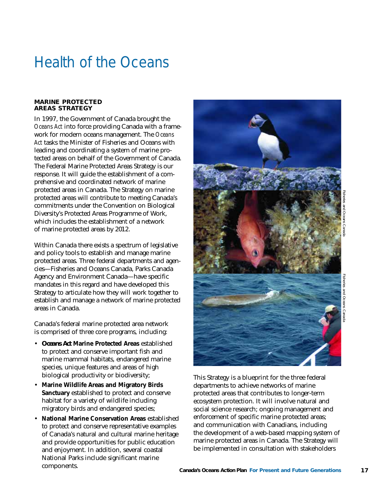# Health of the Oceans

#### **MARINE PROTECTED AREAS STRATEGY**

In 1997, the Government of Canada brought the *Oceans Act* into force providing Canada with a framework for modern oceans management. The *Oceans Act* tasks the Minister of Fisheries and Oceans with leading and coordinating a system of marine protected areas on behalf of the Government of Canada. The Federal Marine Protected Areas Strategy is our response. It will guide the establishment of a comprehensive and coordinated network of marine protected areas in Canada. The Strategy on marine protected areas will contribute to meeting Canada's commitments under the Convention on Biological Diversity's Protected Areas Programme of Work, which includes the establishment of a network of marine protected areas by 2012.

Within Canada there exists a spectrum of legislative and policy tools to establish and manage marine protected areas. Three federal departments and agencies—Fisheries and Oceans Canada, Parks Canada Agency and Environment Canada—have specific mandates in this regard and have developed this Strategy to articulate how they will work together to establish and manage a network of marine protected areas in Canada.

Canada's federal marine protected area network is comprised of three core programs, including:

- *Oceans Act* **Marine Protected Areas** established to protect and conserve important fish and marine mammal habitats, endangered marine species, unique features and areas of high biological productivity or biodiversity;
- **Marine Wildlife Areas and Migratory Birds Sanctuary** established to protect and conserve habitat for a variety of wildlife including migratory birds and endangered species;
- **National Marine Conservation Areas** established to protect and conserve representative examples of Canada's natural and cultural marine heritage and provide opportunities for public education and enjoyment. In addition, several coastal National Parks include significant marine components.

<span id="page-16-0"></span>

This Strategy is a blueprint for the three federal departments to achieve networks of marine protected areas that contributes to longer-term ecosystem protection. It will involve natural and social science research; ongoing management and enforcement of specific marine protected areas; and communication with Canadians, including the development of a web-based mapping system of marine protected areas in Canada. The Strategy will be implemented in consultation with stakeholders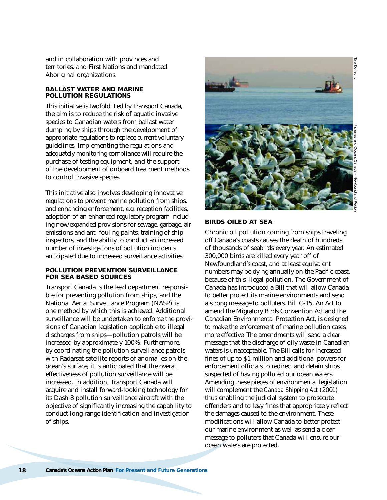and in collaboration with provinces and territories, and First Nations and mandated Aboriginal organizations.

#### **BALLAST WATER AND MARINE POLLUTION REGULATIONS**

This initiative is twofold. Led by Transport Canada, the aim is to reduce the risk of aquatic invasive species to Canadian waters from ballast water dumping by ships through the development of appropriate regulations to replace current voluntary guidelines. Implementing the regulations and adequately monitoring compliance will require the purchase of testing equipment, and the support of the development of onboard treatment methods to control invasive species.

This initiative also involves developing innovative regulations to prevent marine pollution from ships, and enhancing enforcement, e.g. reception facilities, adoption of an enhanced regulatory program including new/expanded provisions for sewage, garbage, air emissions and anti-fouling paints, training of ship inspectors, and the ability to conduct an increased number of investigations of pollution incidents anticipated due to increased surveillance activities.

#### **POLLUTION PREVENTION SURVEILLANCE FOR SEA BASED SOURCES**

Transport Canada is the lead department responsible for preventing pollution from ships, and the National Aerial Surveillance Program (NASP) is one method by which this is achieved. Additional surveillance will be undertaken to enforce the provisions of Canadian legislation applicable to illegal discharges from ships—pollution patrols will be increased by approximately 100%. Furthermore, by coordinating the pollution surveillance patrols with Radarsat satellite reports of anomalies on the ocean's surface, it is anticipated that the overall effectiveness of pollution surveillance will be increased. In addition, Transport Canada will acquire and install forward-looking technology for its Dash 8 pollution surveillance aircraft with the objective of significantly increasing the capability to conduct long-range identification and investigation of ships.



# Fisheries and Oceans Canada – Newfoundland Region Tara Donaghy

#### **BIRDS OILED AT SEA**

Chronic oil pollution coming from ships traveling off Canada's coasts causes the death of hundreds of thousands of seabirds every year. An estimated 300,000 birds are killed every year off of Newfoundland's coast, and at least equivalent numbers may be dying annually on the Pacific coast, because of this illegal pollution. The Government of Canada has introduced a Bill that will allow Canada to better protect its marine environments and send a strong message to polluters. Bill C-15, An Act to amend the Migratory Birds Convention Act and the Canadian Environmental Protection Act, is designed to make the enforcement of marine pollution cases more effective. The amendments will send a clear message that the discharge of oily waste in Canadian waters is unacceptable. The Bill calls for increased fines of up to \$1 million and additional powers for enforcement officials to redirect and detain ships suspected of having polluted our ocean waters. Amending these pieces of environmental legislation will complement the *Canada Shipping Act* (2001) thus enabling the judicial system to prosecute offenders and to levy fines that appropriately reflect the damages caused to the environment. These modifications will allow Canada to better protect our marine environment as well as send a clear message to polluters that Canada will ensure our ocean waters are protected.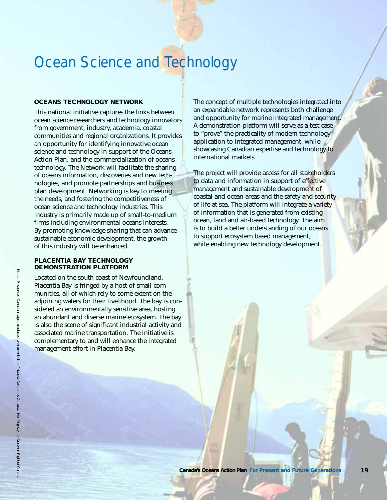## Ocean Science and Technology

#### **OCEANS TECHNOLOGY NETWORK**

This national initiative captures the links between ocean science researchers and technology innovators from government, industry, academia, coastal communities and regional organizations. It provides an opportunity for identifying innovative ocean science and technology in support of the Oceans Action Plan, and the commercialization of oceans technology. The Network will facilitate the sharing of oceans information, discoveries and new technologies, and promote partnerships and business plan development. Networking is key to meeting the needs, and fostering the competitiveness of ocean science and technology industries. This industry is primarily made up of small-to-medium firms including environmental oceans interests. By promoting knowledge sharing that can advance sustainable economic development, the growth of this industry will be enhanced.

#### **PLACENTIA BAY TECHNOLOGY DEMONSTRATION PLATFORM**

Located on the south coast of Newfoundland, Placentia Bay is fringed by a host of small communities, all of which rely to some extent on the adjoining waters for their livelihood. The bay is considered an environmentally sensitive area, hosting an abundant and diverse marine ecosystem. The bay is also the scene of significant industrial activity and associated marine transportation. The initiative is complementary to and will enhance the integrated management effort in Placentia Bay.

<span id="page-18-0"></span>The concept of multiple technologies integrated into an expandable network represents both challenge and opportunity for marine integrated management. A demonstration platform will serve as a test case to "prove" the practicality of modern technology application to integrated management, while showcasing Canadian expertise and technology to international markets.

The project will provide access for all stakeholders to data and information in support of effective management and sustainable development of coastal and ocean areas and the safety and security of life at sea. The platform will integrate a variety of information that is generated from existing ocean, land and air-based technology. The aim is to build a better understanding of our oceans to support ecosystem based management, while enabling new technology development.